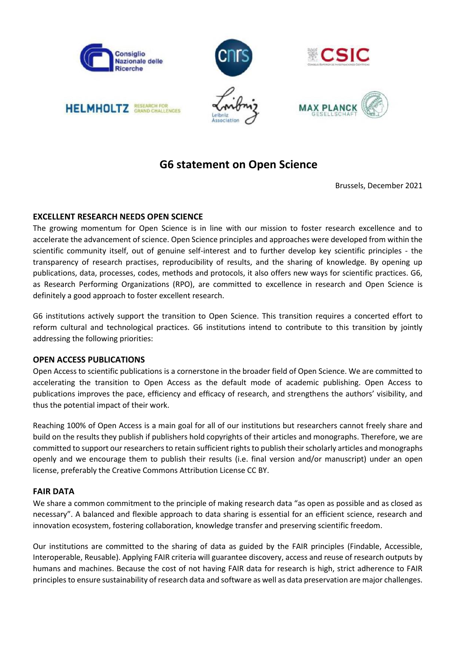

# **G6 statement on Open Science**

Brussels, December 2021

# **EXCELLENT RESEARCH NEEDS OPEN SCIENCE**

The growing momentum for Open Science is in line with our mission to foster research excellence and to accelerate the advancement of science. Open Science principles and approaches were developed from within the scientific community itself, out of genuine self-interest and to further develop key scientific principles - the transparency of research practises, reproducibility of results, and the sharing of knowledge. By opening up publications, data, processes, codes, methods and protocols, it also offers new ways for scientific practices. G6, as Research Performing Organizations (RPO), are committed to excellence in research and Open Science is definitely a good approach to foster excellent research.

G6 institutions actively support the transition to Open Science. This transition requires a concerted effort to reform cultural and technological practices. G6 institutions intend to contribute to this transition by jointly addressing the following priorities:

# **OPEN ACCESS PUBLICATIONS**

Open Access to scientific publications is a cornerstone in the broader field of Open Science. We are committed to accelerating the transition to Open Access as the default mode of academic publishing. Open Access to publications improves the pace, efficiency and efficacy of research, and strengthens the authors' visibility, and thus the potential impact of their work.

Reaching 100% of Open Access is a main goal for all of our institutions but researchers cannot freely share and build on the results they publish if publishers hold copyrights of their articles and monographs. Therefore, we are committed to support our researchers to retain sufficient rights to publish their scholarly articles and monographs openly and we encourage them to publish their results (i.e. final version and/or manuscript) under an open license, preferably the Creative Commons Attribution License CC BY.

#### **FAIR DATA**

We share a common commitment to the principle of making research data "as open as possible and as closed as necessary". A balanced and flexible approach to data sharing is essential for an efficient science, research and innovation ecosystem, fostering collaboration, knowledge transfer and preserving scientific freedom.

Our institutions are committed to the sharing of data as guided by the FAIR principles (Findable, Accessible, Interoperable, Reusable). Applying FAIR criteria will guarantee discovery, access and reuse of research outputs by humans and machines. Because the cost of not having FAIR data for research is high, strict adherence to FAIR principles to ensure sustainability of research data and software as well as data preservation are major challenges.